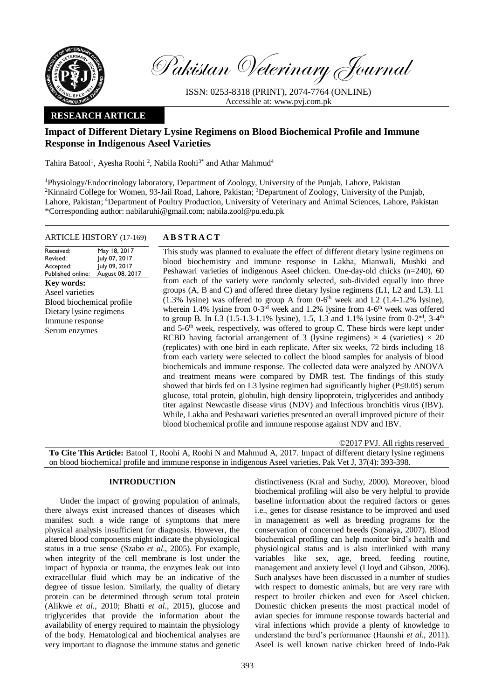

Pakistan Veterinary Journal

ISSN: 0253-8318 (PRINT), 2074-7764 (ONLINE) Accessible at: [www.pvj.com.pk](http://www.pvj.com.pk/)

## **RESEARCH ARTICLE**

# **Impact of Different Dietary Lysine Regimens on Blood Biochemical Profile and Immune Response in Indigenous Aseel Varieties**

Tahira Batool<sup>1</sup>, Ayesha Roohi<sup>2</sup>, Nabila Roohi<sup>3\*</sup> and Athar Mahmud<sup>4</sup>

<sup>1</sup>Physiology/Endocrinology laboratory, Department of Zoology, University of the Punjab, Lahore, Pakistan <sup>2</sup>Kinnaird College for Women, 93-Jail Road, Lahore, Pakistan; <sup>3</sup>Department of Zoology, University of the Punjab, Lahore, Pakistan; <sup>4</sup>Department of Poultry Production, University of Veterinary and Animal Sciences, Lahore, Pakistan \*Corresponding author: nabilaruhi@gmail.com; nabila.zool@pu.edu.pk

## ARTICLE HISTORY (17-169) **A B S T R A C T**

Received: Revised: Accepted: Published online: May 18, 2017 July 07, 2017 July 09, 2017 August 08, 2017 **Key words:**  Aseel varieties Blood biochemical profile Dietary lysine regimens Immune response Serum enzymes

This study was planned to evaluate the effect of different dietary lysine regimens on blood biochemistry and immune response in Lakha, Mianwali, Mushki and Peshawari varieties of indigenous Aseel chicken. One-day-old chicks (n=240), 60 from each of the variety were randomly selected, sub-divided equally into three groups (A, B and C) and offered three dietary lysine regimens (L1, L2 and L3). L1  $(1.3\%$  lysine) was offered to group A from 0-6<sup>th</sup> week and L2  $(1.4-1.2\%$  lysine), wherein 1.4% lysine from  $0-3<sup>rd</sup>$  week and 1.2% lysine from 4-6<sup>th</sup> week was offered to group B. In L3 (1.5-1.3-1.1% lysine), 1.5, 1.3 and 1.1% lysine from  $0-2<sup>nd</sup>$ , 3-4<sup>th</sup> and 5-6<sup>th</sup> week, respectively, was offered to group C. These birds were kept under RCBD having factorial arrangement of 3 (lysine regimens)  $\times$  4 (varieties)  $\times$  20 (replicates) with one bird in each replicate. After six weeks, 72 birds including 18 from each variety were selected to collect the blood samples for analysis of blood biochemicals and immune response. The collected data were analyzed by ANOVA and treatment means were compared by DMR test. The findings of this study showed that birds fed on L3 lysine regimen had significantly higher (P≤0.05) serum glucose, total protein, globulin, high density lipoprotein, triglycerides and antibody titer against Newcastle disease virus (NDV) and Infectious bronchitis virus (IBV). While, Lakha and Peshawari varieties presented an overall improved picture of their blood biochemical profile and immune response against NDV and IBV.

©2017 PVJ. All rights reserved

**To Cite This Article:** Batool T, Roohi A, Roohi N and Mahmud A, 2017. Impact of different dietary lysine regimens on blood biochemical profile and immune response in indigenous Aseel varieties. Pak Vet J, 37(4): 393-398.

## **INTRODUCTION**

Under the impact of growing population of animals, there always exist increased chances of diseases which manifest such a wide range of symptoms that mere physical analysis insufficient for diagnosis. However, the altered blood components might indicate the physiological status in a true sense (Szabo *et al*., 2005). For example, when integrity of the cell membrane is lost under the impact of hypoxia or trauma, the enzymes leak out into extracellular fluid which may be an indicative of the degree of tissue lesion. Similarly, the quality of dietary protein can be determined through serum total protein (Alikwe *et al*., 2010; Bhatti *et al*., 2015), glucose and triglycerides that provide the information about the availability of energy required to maintain the physiology of the body. Hematological and biochemical analyses are very important to diagnose the immune status and genetic

distinctiveness (Kral and Suchy, 2000). Moreover, blood biochemical profiling will also be very helpful to provide baseline information about the required factors or genes i.e., genes for disease resistance to be improved and used in management as well as breeding programs for the conservation of concerned breeds (Sonaiya, 2007). Blood biochemical profiling can help monitor bird's health and physiological status and is also interlinked with many variables like sex, age, breed, feeding routine, management and anxiety level (Lloyd and Gibson, 2006). Such analyses have been discussed in a number of studies with respect to domestic animals, but are very rare with respect to broiler chicken and even for Aseel chicken. Domestic chicken presents the most practical model of avian species for immune response towards bacterial and viral infections which provide a plenty of knowledge to understand the bird's performance (Haunshi *et al*., 2011). Aseel is well known native chicken breed of Indo-Pak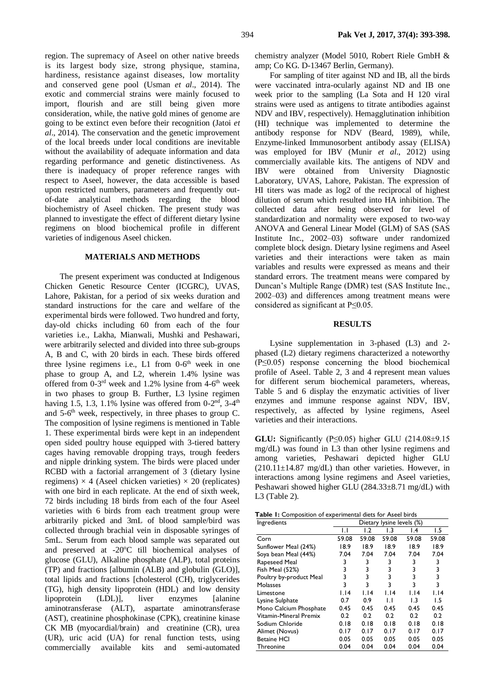region. The supremacy of Aseel on other native breeds is its largest body size, strong physique, stamina, hardiness, resistance against diseases, low mortality and conserved gene pool (Usman *et al*., 2014). The exotic and commercial strains were mainly focused to import, flourish and are still being given more consideration, while, the native gold mines of genome are going to be extinct even before their recognition (Jatoi *et al*., 2014). The conservation and the genetic improvement of the local breeds under local conditions are inevitable without the availability of adequate information and data regarding performance and genetic distinctiveness. As there is inadequacy of proper reference ranges with respect to Aseel, however, the data accessible is based upon restricted numbers, parameters and frequently outof-date analytical methods regarding the blood biochemistry of Aseel chicken. The present study was planned to investigate the effect of different dietary lysine regimens on blood biochemical profile in different varieties of indigenous Aseel chicken.

#### **MATERIALS AND METHODS**

The present experiment was conducted at Indigenous Chicken Genetic Resource Center (ICGRC), UVAS, Lahore, Pakistan, for a period of six weeks duration and standard instructions for the care and welfare of the experimental birds were followed. Two hundred and forty, day-old chicks including 60 from each of the four varieties i.e., Lakha, Mianwali, Mushki and Peshawari, were arbitrarily selected and divided into three sub-groups A, B and C, with 20 birds in each. These birds offered three lysine regimens i.e., L1 from 0-6<sup>th</sup> week in one phase to group A, and L2, wherein 1.4% lysine was offered from  $0-3^{rd}$  week and 1.2% lysine from  $4-6^{th}$  week in two phases to group B. Further, L3 lysine regimen having 1.5, 1.3, 1.1% lysine was offered from  $0-2<sup>nd</sup>$ , 3-4<sup>th</sup> and 5-6<sup>th</sup> week, respectively, in three phases to group C. The composition of lysine regimens is mentioned in Table 1. These experimental birds were kept in an independent open sided poultry house equipped with 3-tiered battery cages having removable dropping trays, trough feeders and nipple drinking system. The birds were placed under RCBD with a factorial arrangement of 3 (dietary lysine regimens)  $\times$  4 (Aseel chicken varieties)  $\times$  20 (replicates) with one bird in each replicate. At the end of sixth week, 72 birds including 18 birds from each of the four Aseel varieties with 6 birds from each treatment group were arbitrarily picked and 3mL of blood sample/bird was collected through brachial vein in disposable syringes of 5mL. Serum from each blood sample was separated out and preserved at -20°C till biochemical analyses of glucose (GLU), Alkaline phosphate (ALP), total proteins (TP) and fractions [albumin (ALB) and globulin (GLO)], total lipids and fractions [cholesterol (CH), triglycerides (TG), high density lipoprotein (HDL) and low density lipoprotein (LDL)], liver enzymes [alanine aminotransferase (ALT), aspartate aminotransferase (AST), creatinine phosphokinase (CPK), creatinine kinase CK MB (myocardial/brain) and creatinine (CR), urea (UR), uric acid (UA) for renal function tests, using commercially available kits and semi-automated

chemistry analyzer (Model 5010, Robert Riele GmbH & amp; Co KG. D-13467 Berlin, Germany).

For sampling of titer against ND and IB, all the birds were vaccinated intra-ocularly against ND and IB one week prior to the sampling (La Sota and H 120 viral strains were used as antigens to titrate antibodies against NDV and IBV, respectively). Hemagglutination inhibition (HI) technique was implemented to determine the antibody response for NDV (Beard, 1989), while, Enzyme-linked Immunosorbent antibody assay (ELISA) was employed for IBV (Munir *et al*., 2012) using commercially available kits. The antigens of NDV and IBV were obtained from University Diagnostic Laboratory, UVAS, Lahore, Pakistan. The expression of HI titers was made as log2 of the reciprocal of highest dilution of serum which resulted into HA inhibition. The collected data after being observed for level of standardization and normality were exposed to two-way ANOVA and General Linear Model (GLM) of SAS (SAS Institute Inc., 2002–03) software under randomized complete block design. Dietary lysine regimens and Aseel varieties and their interactions were taken as main variables and results were expressed as means and their standard errors. The treatment means were compared by Duncan's Multiple Range (DMR) test (SAS Institute Inc., 2002–03) and differences among treatment means were considered as significant at P≤0.05.

## **RESULTS**

Lysine supplementation in 3-phased (L3) and 2 phased (L2) dietary regimens characterized a noteworthy (P≤0.05) response concerning the blood biochemical profile of Aseel. Table 2, 3 and 4 represent mean values for different serum biochemical parameters, whereas, Table 5 and 6 display the enzymatic activities of liver enzymes and immune response against NDV, IBV, respectively, as affected by lysine regimens, Aseel varieties and their interactions.

**GLU:** Significantly (P≤0.05) higher GLU (214.08±9.15 mg/dL) was found in L3 than other lysine regimens and among varieties, Peshawari depicted higher GLU  $(210.11\pm14.87 \text{ mg/dL})$  than other varieties. However, in interactions among lysine regimens and Aseel varieties, Peshawari showed higher GLU (284.33±8.71 mg/dL) with L3 (Table 2).

| Ingredients             | Dietary lysine levels (%) |       |                  |       |       |
|-------------------------|---------------------------|-------|------------------|-------|-------|
|                         | IJ                        | 1.2   | $\overline{1.3}$ | 4. ا  | 1.5   |
| Corn                    | 59.08                     | 59.08 | 59.08            | 59.08 | 59.08 |
| Sunflower Meal (24%)    | 18.9                      | 18.9  | 18.9             | 18.9  | 18.9  |
| Soya bean Meal (44%)    | 7.04                      | 7.04  | 7.04             | 7.04  | 7.04  |
| Rapeseed Meal           | 3                         | 3     | 3                | 3     | 3     |
| Fish Meal (52%)         | 3                         | 3     | 3                | 3     | 3     |
| Poultry by-product Meal | 3                         | 3     | 3                | 3     | 3     |
| Molasses                | 3                         | 3     | 3                | 3     | 3     |
| Limestone               | 1.14                      | 1.14  | 1.14             | 1.14  | 1.14  |
| Lysine Sulphate         | 0.7                       | 0.9   | IJ               | I.3   | 1.5   |
| Mono Calcium Phosphate  | 0.45                      | 0.45  | 0.45             | 0.45  | 0.45  |
| Vitamin-Mineral Premix  | 0.2                       | 0.2   | 0.2              | 0.2   | 0.2   |
| Sodium Chloride         | 0.18                      | 0.18  | 0.18             | 0.18  | 0.18  |
| Alimet (Novus)          | 0.17                      | 0.17  | 0.17             | 0.17  | 0.17  |
| <b>Betaine HCI</b>      | 0.05                      | 0.05  | 0.05             | 0.05  | 0.05  |
| Threonine               | 0.04                      | 0.04  | 0.04             | 0.04  | 0.04  |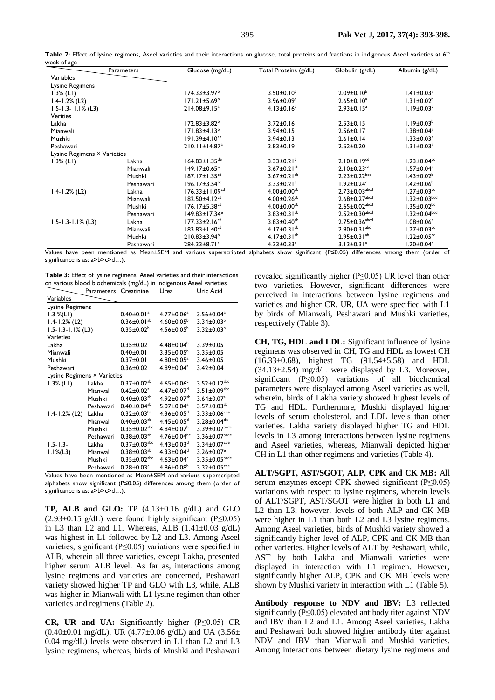| Parameters                  |           | Glucose (mg/dL)                 | Total Proteins (g/dL)         | Globulin (g/dL)                 | Albumin (g/dL)                 |
|-----------------------------|-----------|---------------------------------|-------------------------------|---------------------------------|--------------------------------|
| Variables                   |           |                                 |                               |                                 |                                |
| Lysine Regimens             |           |                                 |                               |                                 |                                |
| $1.3\%$ (LI)                |           | $174.33 \pm 3.97^{\circ}$       | $3.50 \pm 0.10^6$             | $2.09 \pm 0.10^b$               | $1.41 \pm 0.03$ <sup>a</sup>   |
| $1.4 - 1.2%$ (L2)           |           | $171.21 \pm 5.69^b$             | $3.96 \pm 0.09^{\circ}$       | $2.65 \pm 0.10^a$               | $1.31 \pm 0.02^b$              |
| $1.5 - 1.3 - 1.1\%$ (L3)    |           | $214.08 \pm 9.15^a$             | $4.13 \pm 0.16^a$             | $2.93 \pm 0.15^a$               | $1.19 \pm 0.03$ <sup>c</sup>   |
| <b>Verities</b>             |           |                                 |                               |                                 |                                |
| Lakha                       |           | $172.83 \pm 3.82^b$             | $3.72 \pm 0.16$               | $2.53 \pm 0.15$                 | $1.19 \pm 0.03^b$              |
| Mianwali                    |           | $171.83 \pm 4.13^b$             | $3.94 \pm 0.15$               | $2.56 \pm 0.17$                 | $1.38 \pm 0.04^a$              |
| Mushki                      |           | $191.39 \pm 4.10^{ab}$          | $3.94 \pm 0.13$               | $2.61 \pm 0.14$                 | $1.33 \pm 0.03$ <sup>a</sup>   |
| Peshawari                   |           | $210.11 \pm 14.87$ <sup>a</sup> | $3.83 \pm 0.19$               | $2.52 \pm 0.20$                 | $1.31 \pm 0.03$ <sup>a</sup>   |
| Lysine Regimens × Varieties |           |                                 |                               |                                 |                                |
| $1.3\%$ (LI)                | Lakha     | $164.83 \pm 1.35$ <sup>de</sup> | $3.33 \pm 0.21^b$             | $2.10 \pm 0.19^{cd}$            | $1.23 \pm 0.04$ <sup>cd</sup>  |
|                             | Mianwali  | $149.17 \pm 0.65$ <sup>e</sup>  | 3.67 $\pm$ 0.21 <sup>ab</sup> | $2.10 \pm 0.23$ <sup>cd</sup>   | $1.57 \pm 0.04^a$              |
|                             | Mushki    | $187.17 \pm 1.35$ <sup>cd</sup> | 3.67 $\pm$ 0.21 <sup>ab</sup> | $2.23 \pm 0.22$ <sub>bcd</sub>  | $1.43 \pm 0.02^b$              |
|                             | Peshawari | $196.17 \pm 3.54$ <sup>bc</sup> | $3.33 \pm 0.21^b$             | $1.92 \pm 0.24$ <sup>d</sup>    | $1.42\pm0.06^{\mathrm{b}}$     |
| $1.4 - 1.2%$ (L2)           | Lakha     | $176.33 \pm 11.09^{cd}$         | $4.00 \pm 0.00^{ab}$          | $2.73 \pm 0.03$ <sup>abcd</sup> | $1.27 \pm 0.03$ <sup>cd</sup>  |
|                             | Mianwali  | $182.50 \pm 4.12$ <sup>cd</sup> | 4.00 $\pm$ 0.26 <sup>ab</sup> | $2.68 \pm 0.27$ <sup>abcd</sup> | $1.32 \pm 0.03$ <sub>bcd</sub> |
|                             | Mushki    | $176.17 \pm 5.38$ <sup>cd</sup> | $4.00 \pm 0.00^{ab}$          | $2.65 \pm 0.02$ <sup>abcd</sup> | $1.35 \pm 0.02$ <sup>bc</sup>  |
|                             | Peshawari | $149.83 \pm 17.34$ <sup>e</sup> | $3.83 \pm 0.31^{ab}$          | $2.52 \pm 0.30$ abcd            | $1.32 \pm 0.04^{bcd}$          |
| $1.5 - 1.3 - 1.1\%$ (L3)    | Lakha     | $177.33 \pm 2.16$ <sup>cd</sup> | $3.83 \pm 0.40^{ab}$          | $2.75 \pm 0.36$ <sup>abcd</sup> | $1.08{\pm}0.06^{\rm e}$        |
|                             | Mianwali  | $183.83 \pm 1.40^{cd}$          | 4.17 $\pm$ 0.31 <sup>ab</sup> | $2.90 \pm 0.3$   abc            | $1.27 \pm 0.03$ <sup>cd</sup>  |
|                             | Mushki    | $210.83 \pm 3.94^b$             | 4.17 $\pm$ 0.31 <sup>ab</sup> | $2.95 \pm 0.31^{ab}$            | $1.22 \pm 0.05$ <sup>cd</sup>  |
|                             | Peshawari | $284.33 \pm 8.71$ <sup>a</sup>  | $4.33 \pm 0.33$ <sup>a</sup>  | $3.13 \pm 0.31$ <sup>a</sup>    | $1.20 \pm 0.04^\text{d}$       |

Values have been mentioned as Mean±SEM and various superscripted alphabets show significant (P≤0.05) differences among them (order of significance is as: a>b>c>d...).

| Table 3: Effect of lysine regimens, Aseel varieties and their interactions |  |
|----------------------------------------------------------------------------|--|
| on various blood biochemicals (mg/dL) in indigenous Aseel varieties        |  |

|                             | Parameters Creatinine |                                | Urea                          | Uric Acid                       |  |  |  |
|-----------------------------|-----------------------|--------------------------------|-------------------------------|---------------------------------|--|--|--|
| Variables                   |                       |                                |                               |                                 |  |  |  |
|                             | Lysine Regimens       |                                |                               |                                 |  |  |  |
| $1.3 \% (L1)$               |                       | $0.40 \pm 0.01$ <sup>a</sup>   | $4.77 \pm 0.06^a$             | $3.56 \pm 0.04^a$               |  |  |  |
| $1.4 - 1.2%$ (L2)           |                       | $0.36 \pm 0.01^{ab}$           | $4.60 \pm 0.05^{\circ}$       | $3.34 \pm 0.03^b$               |  |  |  |
| $1.5 - 1.3 - 1.1\%$ (L3)    |                       | $0.35 \pm 0.02^b$              | $4.56 \pm 0.05^{\circ}$       | $3.32 \pm 0.03^b$               |  |  |  |
| Varieties                   |                       |                                |                               |                                 |  |  |  |
| Lakha                       |                       | $0.35 \pm 0.02$                | $4.48 \pm 0.04^b$             | $3.39 \pm 0.05$                 |  |  |  |
| Mianwali                    |                       | $0.40 \pm 0.01$                | $3.35 \pm 0.05^{\circ}$       | $3.35 \pm 0.05$                 |  |  |  |
| Mushki                      |                       | $0.37 \pm 0.01$                | $4.80 \pm 0.05^a$             | $3.46 \pm 0.05$                 |  |  |  |
| Peshawari                   |                       | $0.36 \pm 0.02$                | 4.89±0.04 <sup>a</sup>        | $3.42 \pm 0.04$                 |  |  |  |
| Lysine Regimens × Varieties |                       |                                |                               |                                 |  |  |  |
| $1.3%$ (LI)                 | Lakha                 | $0.37 \pm 0.02^{ab}$           | $4.65 \pm 0.06$ <sup>c</sup>  | $3.52 \pm 0.12^{abc}$           |  |  |  |
|                             | Mianwali              | $0.42 \pm 0.02$ <sup>a</sup>   | $4.47 \pm 0.07$ <sup>d</sup>  | 3.5   $\pm$ 0.09 <sup>abc</sup> |  |  |  |
|                             | Mushki                | $0.40 \pm 0.03^{ab}$           | $4.92 \pm 0.07^{ab}$          | $3.64 \pm 0.07$ <sup>a</sup>    |  |  |  |
|                             | Peshawari             | $0.40 \pm 0.04^{ab}$           | $5.07 \pm 0.04$ <sup>a</sup>  | $3.57 \pm 0.03^{ab}$            |  |  |  |
| $1.4 - 1.2%$ (L2)           | Lakha                 | $0.32 \pm 0.03$ bc             | $4.36 \pm 0.05$ <sup>d</sup>  | $3.33 \pm 0.06$ <sup>cde</sup>  |  |  |  |
|                             | Mianwali              | $0.40 \pm 0.03^{ab}$           | $4.45 \pm 0.05$ <sup>d</sup>  | $3.28 \pm 0.04$ <sup>de</sup>   |  |  |  |
|                             | Mushki                | $0.35 \pm 0.02$ <sup>abc</sup> | $4.84 \pm 0.07^b$             | $3.39 \pm 0.07$ bcde            |  |  |  |
|                             | Peshawari             | $0.38 \pm 0.03^{ab}$           | $4.76 \pm 0.04$ <sub>bc</sub> | 3.36±0.07bcde                   |  |  |  |
| $1.5 - 1.3 -$               | Lakha                 | $0.37 \pm 0.03$ <sup>abc</sup> | $4.43 \pm 0.03$ <sup>d</sup>  | $3.34 \pm 0.07$ <sup>cde</sup>  |  |  |  |
| $1.1\%$ (L3)                | Mianwali              | $0.38 \pm 0.03^{ab}$           | $4.33 \pm 0.04$ <sup>d</sup>  | $3.26 \pm 0.07$ <sup>e</sup>    |  |  |  |
|                             | Mushki                | $0.35 \pm 0.02$ <sup>abc</sup> | $4.63 \pm 0.04$ <sup>c</sup>  | $3.35 \pm 0.05^{\text{bcde}}$   |  |  |  |
|                             | Peshawari             | $0.28 \pm 0.03$ <sup>c</sup>   | $4.86 \pm 0.08^b$             | $3.32 \pm 0.05$ <sup>cde</sup>  |  |  |  |

Values have been mentioned as Mean±SEM and various superscripted alphabets show significant (P≤0.05) differences among them (order of significance is as: a>b>c>d...).

**TP, ALB and GLO:** TP (4.13±0.16 g/dL) and GLO  $(2.93\pm0.15 \text{ g/dL})$  were found highly significant (P≤0.05) in L3 than L2 and L1. Whereas, ALB  $(1.41\pm0.03 \text{ g/dL})$ was highest in L1 followed by L2 and L3. Among Aseel varieties, significant (P≤0.05) variations were specified in ALB, wherein all three varieties, except Lakha, presented higher serum ALB level. As far as, interactions among lysine regimens and varieties are concerned, Peshawari variety showed higher TP and GLO with L3, while, ALB was higher in Mianwali with L1 lysine regimen than other varieties and regimens (Table 2).

**CR, UR and UA:** Significantly higher (P≤0.05) CR  $(0.40\pm0.01 \text{ mg/dL})$ , UR  $(4.77\pm0.06 \text{ g/dL})$  and UA  $(3.56\pm$ 0.04 mg/dL) levels were observed in L1 than L2 and L3 lysine regimens, whereas, birds of Mushki and Peshawari

revealed significantly higher (P≤0.05) UR level than other two varieties. However, significant differences were perceived in interactions between lysine regimens and varieties and higher CR, UR, UA were specified with L1 by birds of Mianwali, Peshawari and Mushki varieties, respectively (Table 3).

**CH, TG, HDL and LDL:** Significant influence of lysine regimens was observed in CH, TG and HDL as lowest CH (16.33±0.68), highest TG (91.54±5.58) and HDL  $(34.13\pm 2.54)$  mg/d/L were displayed by L3. Moreover, significant (P≤0.05) variations of all biochemical parameters were displayed among Aseel varieties as well, wherein, birds of Lakha variety showed highest levels of TG and HDL. Furthermore, Mushki displayed higher levels of serum cholesterol, and LDL levels than other varieties. Lakha variety displayed higher TG and HDL levels in L3 among interactions between lysine regimens and Aseel varieties, whereas, Mianwali depicted higher CH in L1 than other regimens and varieties (Table 4).

**ALT/SGPT, AST/SGOT, ALP, CPK and CK MB:** All serum enzymes except CPK showed significant (P≤0.05) variations with respect to lysine regimens, wherein levels of ALT/SGPT, AST/SGOT were higher in both L1 and L2 than L3, however, levels of both ALP and CK MB were higher in L1 than both L2 and L3 lysine regimens. Among Aseel varieties, birds of Mushki variety showed a significantly higher level of ALP, CPK and CK MB than other varieties. Higher levels of ALT by Peshawari, while, AST by both Lakha and Mianwali varieties were displayed in interaction with L1 regimen. However, significantly higher ALP, CPK and CK MB levels were shown by Mushki variety in interaction with L1 (Table 5).

**Antibody response to NDV and IBV:** L3 reflected significantly (P≤0.05) elevated antibody titer against NDV and IBV than L2 and L1. Among Aseel varieties, Lakha and Peshawari both showed higher antibody titer against NDV and IBV than Mianwali and Mushki varieties. Among interactions between dietary lysine regimens and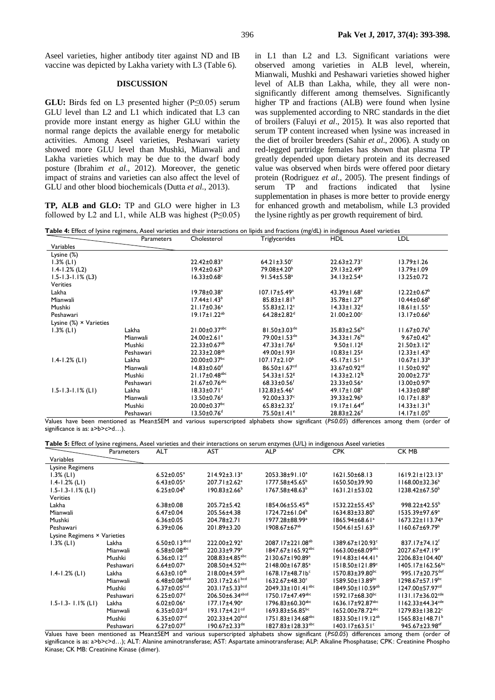Aseel varieties, higher antibody titer against ND and IB vaccine was depicted by Lakha variety with L3 (Table 6).

#### **DISCUSSION**

**GLU:** Birds fed on L3 presented higher (P≤0.05) serum GLU level than L2 and L1 which indicated that L3 can provide more instant energy as higher GLU within the normal range depicts the available energy for metabolic activities. Among Aseel varieties, Peshawari variety showed more GLU level than Mushki, Mianwali and Lakha varieties which may be due to the dwarf body posture (Ibrahim *et al*., 2012). Moreover, the genetic impact of strains and varieties can also affect the level of GLU and other blood biochemicals (Dutta *et al*., 2013).

**TP, ALB and GLO:** TP and GLO were higher in L3 followed by L2 and L1, while ALB was highest  $(P<0.05)$  in L1 than L2 and L3. Significant variations were observed among varieties in ALB level, wherein, Mianwali, Mushki and Peshawari varieties showed higher level of ALB than Lakha, while, they all were nonsignificantly different among themselves. Significantly higher TP and fractions (ALB) were found when lysine was supplemented according to NRC standards in the diet of broilers (Faluyi *et al*., 2015). It was also reported that serum TP content increased when lysine was increased in the diet of broiler breeders (Sahir *et al*., 2006). A study on red-legged partridge females has shown that plasma TP greatly depended upon dietary protein and its decreased value was observed when birds were offered poor dietary protein (Rodriguez *et al*., 2005). The present findings of serum TP and fractions indicated that lysine supplementation in phases is more better to provide energy for enhanced growth and metabolism, while L3 provided the lysine rightly as per growth requirement of bird.

**Table 4:** Effect of lysine regimens, Aseel varieties and their interactions on lipids and fractions (mg/dL) in indigenous Aseel varieties

|                                | Parameters | Cholesterol                     | Triglycerides                  | <b>HDL</b>                     | LDL                           |
|--------------------------------|------------|---------------------------------|--------------------------------|--------------------------------|-------------------------------|
| Variables                      |            |                                 |                                |                                |                               |
| Lysine (%)                     |            |                                 |                                |                                |                               |
| $1.3\%$ (LI)                   |            | 22.42±0.83 <sup>a</sup>         | $64.21 \pm 3.50$ °             | $22.63 \pm 2.73$ <sup>c</sup>  | $13.79 \pm 1.26$              |
| $1.4 - 1.2%$ (L2)              |            | $19.42 \pm 0.63^b$              | 79.08±4.20 <sup>b</sup>        | $29.13 \pm 2.49^{\circ}$       | $13.79 \pm 1.09$              |
| $1.5 - 1.3 - 1.1\%$ (L3)       |            | $16.33 \pm 0.68$ <sup>c</sup>   | $91.54 \pm 5.58$ <sup>a</sup>  | $34.13 \pm 2.54$ <sup>a</sup>  | $13.25 \pm 0.72$              |
| Verities                       |            |                                 |                                |                                |                               |
| Lakha                          |            | $19.78 \pm 0.38$ <sup>a</sup>   | $107.17 \pm 5.49^a$            | $43.39 \pm 1.68^a$             | $12.22 \pm 0.67^{\circ}$      |
| Mianwali                       |            | $17.44 \pm 1.43^b$              | $85.83 \pm 1.81^b$             | $35.78 \pm 1.27^b$             | $10.44 \pm 0.68^{\circ}$      |
| Mushki                         |            | $21.17 \pm 0.36^a$              | $55.83 \pm 2.12$ <sup>c</sup>  | $14.33 \pm 1.32$ <sup>d</sup>  | $18.61 \pm 1.55^a$            |
| Peshawari                      |            | $19.17 \pm 1.22^{ab}$           | $64.28 \pm 2.82$ <sup>d</sup>  | $21.00 \pm 2.00$ <sup>c</sup>  | $13.17 \pm 0.66^{\circ}$      |
| Lysine $(\%) \times$ Varieties |            |                                 |                                |                                |                               |
| $1.3\%$ (LI)                   | Lakha      | $21.00 \pm 0.37$ <sup>abc</sup> | $81.50 \pm 3.03$ <sup>de</sup> | $35.83 \pm 2.56$ <sup>bc</sup> | $11.67 \pm 0.76^{\circ}$      |
|                                | Mianwali   | $24.00 \pm 2.61$ <sup>a</sup>   | 79.00±1.53 <sup>de</sup>       | $34.33 \pm 1.76$ <sup>bc</sup> | $9.67 \pm 0.42^b$             |
|                                | Mushki     | $22.33 \pm 0.67$ <sup>ab</sup>  | $47.33 \pm 1.76$ <sup>g</sup>  | $9.50 \pm 1.12$ <sup>g</sup>   | $21.50 \pm 3.12$ <sup>a</sup> |
|                                | Peshawari  | $22.33 \pm 2.08^{ab}$           | $49.00 \pm 1.93$ <sup>g</sup>  | $10.83 \pm 1.25$ <sup>g</sup>  | $12.33 \pm 1.43^b$            |
| $1.4 - 1.2%$ (LI)              | Lakha      | $20.00 \pm 0.37$ bc             | $107.17 \pm 2.10^b$            | $45.17 \pm 1.51$ <sup>a</sup>  | $10.67 \pm 1.33^b$            |
|                                | Mianwali   | $14.83 \pm 0.60$ <sup>d</sup>   | $86.50 \pm 1.67$ <sup>cd</sup> | 33.67 $\pm$ 0.92 <sup>cd</sup> | $11.50 \pm 0.92^b$            |
|                                | Mushki     | $21.17 \pm 0.48$ <sup>abc</sup> | $54.33 \pm 1.52$ <sup>g</sup>  | $14.33 \pm 2.12$ <sup>fg</sup> | $20.00 \pm 2.73$ <sup>a</sup> |
|                                | Peshawari  | $21.67 \pm 0.76$ <sup>abc</sup> | $68.33 \pm 0.56$ <sup>f</sup>  | $23.33 \pm 0.56$ <sup>e</sup>  | $13.00 \pm 0.97^{\circ}$      |
| $1.5 - 1.3 - 1.1\%$ (LI)       | Lakha      | $18.33 \pm 0.71$ <sup>c</sup>   | $132.83 \pm 5.46^a$            | 49.17±1.08 <sup>a</sup>        | $14.33 \pm 0.88^{\circ}$      |
|                                | Mianwali   | $13.50 \pm 0.76$ <sup>d</sup>   | $92.00 \pm 3.37$ <sup>c</sup>  | $39.33 \pm 2.96^{\circ}$       | $10.17 \pm 1.83^b$            |
|                                | Mushki     | $20.00 \pm 0.37$ bc             | $65.83 \pm 2.32$ <sup>f</sup>  | $19.17 \pm 1.64$ <sup>ef</sup> | $14.33 \pm 1.31^b$            |
|                                | Peshawari  | $13.50 \pm 0.76$ <sup>d</sup>   | $75.50 \pm 1.41$ <sup>e</sup>  | $28.83 \pm 2.26$ <sup>d</sup>  | $14.17 \pm 1.05^b$            |

Values have been mentioned as Mean±SEM and various superscripted alphabets show significant (*P≤0.05*) differences among them (order of significance is as: a>b>c>d...).

**Table 5:** Effect of lysine regimens, Aseel varieties and their interactions on serum enzymes (U/L) in indigenous Aseel varieties

|                             | <b>Parameters</b> | <b>ALT</b>                      | <b>AST</b>                        | <b>ALP</b>                          | <b>CPK</b>                         | CK MB                              |
|-----------------------------|-------------------|---------------------------------|-----------------------------------|-------------------------------------|------------------------------------|------------------------------------|
| Variables                   |                   |                                 |                                   |                                     |                                    |                                    |
| Lysine Regimens             |                   |                                 |                                   |                                     |                                    |                                    |
| $1.3\%$ (LI)                |                   | $6.52 \pm 0.05^a$               | $214.92 \pm 3.13^a$               | 2053.38±91.10 <sup>a</sup>          | $1621.50\pm 68.13$                 | 1619.21±123.13ª                    |
| $1.4 - 1.2%$ (LI)           |                   | $6.43 \pm 0.05^a$               | 207.71±2.62 <sup>a</sup>          | $1777.58 \pm 45.65^{\circ}$         | $1650.50 \pm 39.90$                | $1168.00 \pm 32.36^b$              |
| $1.5 - 1.3 - 1.1\%$ (LI)    |                   | $6.25 \pm 0.04^b$               | $190.83 \pm 2.66^{\circ}$         | $1767.58 \pm 48.63^b$               | $1631.21 \pm 53.02$                | $1238.42 \pm 67.50^{\circ}$        |
| <b>Verities</b>             |                   |                                 |                                   |                                     |                                    |                                    |
| Lakha                       |                   | $6.38 \pm 0.08$                 | $205.72 \pm 5.42$                 | 1854.06±55.45 <sup>ab</sup>         | $1532.22 \pm 55.45^{\circ}$        | $998.22 \pm 42.55^b$               |
| Mianwali                    |                   | $6.47 \pm 0.04$                 | 205.56±4.38                       | $1724.72 \pm 61.04^b$               | $1634.83 \pm 33.80^{\circ}$        | 1535.39±97.69ª                     |
| Mushki                      |                   | $6.36 \pm 0.05$                 | 204.78±2.71                       | 1977.28±88.99 <sup>a</sup>          | $1865.94 \pm 68.61^a$              | $1673.22 \pm 113.74$ <sup>a</sup>  |
| Peshawari                   |                   | $6.39 \pm 0.06$                 | $201.89 \pm 3.20$                 | $1908.67 \pm 67^{ab}$               | $1504.61 \pm 51.63^b$              | $1160.67 \pm 69.79$                |
| Lysine Regimens × Varieties |                   |                                 |                                   |                                     |                                    |                                    |
| $1.3\%$ (LI)                | Lakha             | $6.50 \pm 0.13$ <sup>abcd</sup> | $222.00+2.92$ <sup>a</sup>        | $2087.17 \pm 221.08^{ab}$           | $1389.67 \pm 120.93$ <sup>c</sup>  | $837.17 \pm 74.12$ <sup>f</sup>    |
|                             | Mianwali          | $6.58 \pm 0.08$ <sup>abc</sup>  | $220.33 \pm 9.79$ <sup>a</sup>    | $1847.67 \pm 165.92$ <sup>abc</sup> | $1663.00 \pm 68.09$ <sup>abc</sup> | 2027.67±47.19 <sup>a</sup>         |
|                             | Mushki            | 6.36 $\pm$ 0.12 <sup>cd</sup>   | $208.83 \pm 4.85$ <sup>abc</sup>  | 2130.67±190.89 <sup>a</sup>         | $1914.83 \pm 144.41$ <sup>a</sup>  | $2206.83 \pm 104.40^a$             |
|                             | Peshawari         | $6.64 \pm 0.07$ <sup>a</sup>    | 208.50±4.52 <sup>abc</sup>        | 2148.00±167.85 <sup>a</sup>         | 1518.50±121.89°                    | 1405.17±162.56 <sup>bc</sup>       |
| $1.4 - 1.2%$ (LI)           | Lakha             | $6.63 \pm 0.10^{ab}$            | $218.00 + 4.59$ <sup>ab</sup>     | $1678.17 + 48.71b^c$                | $1570.83 \pm 39.80$ <sup>bc</sup>  | 995.17±20.75 <sup>def</sup>        |
|                             | Mianwali          | $6.48 \pm 0.08^{abcd}$          | $203.17 \pm 2.61$ bcd             | $1632.67 \pm 48.30^{\circ}$         | $1589.50 \pm 13.89$ <sup>bc</sup>  | $1298.67 \pm 57.19$ <sup>bc</sup>  |
|                             | Mushki            | $6.37 \pm 0.05$ <sub>bcd</sub>  | $203.17 \pm 5.33$ bcd             | $2049.33 \pm 101.41$ <sup>abc</sup> | $1849.50 \pm 110.59^{ab}$          | 1247.00±57.97 <sup>cd</sup>        |
|                             | Peshawari         | $6.25 \pm 0.07$ <sup>d</sup>    | $206.50 \pm 6.34$ <sup>abcd</sup> | $1750.17 \pm 47.49$ <sup>abc</sup>  | $1592.17 \pm 68.30$ bc             | $1131.17 \pm 36.02$ <sup>cde</sup> |
| $1.5 - 1.3 - 1.1\%$ (LI)    | Lakha             | $6.02 \pm 0.06$ <sup>e</sup>    | $177.17 \pm 4.90^{\circ}$         | $1796.83 \pm 60.30$ <sup>abc</sup>  | $1636.17 + 92.87$ <sup>abc</sup>   | $1162.33 \pm 44.34$ <sup>cde</sup> |
|                             | Mianwali          | $6.35 \pm 0.03$ <sup>cd</sup>   | $193.17 \pm 4.21$ <sup>cd</sup>   | $1693.83 \pm 56.85$ <sup>bc</sup>   | $1652.00 \pm 78.72$ <sup>abc</sup> | $1279.83 \pm 138.22$ <sup>c</sup>  |
|                             | Mushki            | $6.35 \pm 0.07$ <sup>cd</sup>   | $202.33 \pm 4.20^{bcd}$           | $1751.83 \pm 134.68$ <sup>abc</sup> | 1833.50±119.12 <sup>ab</sup>       | $1565.83 \pm 148.71^b$             |
|                             | Peshawari         | $6.27 \pm 0.07$ <sup>d</sup>    | $190.67 \pm 2.33$ <sup>de</sup>   | $1827.83 \pm 128.33$ <sup>abc</sup> | $1403.17 \pm 63.51$ <sup>c</sup>   | 945.67±23.98 <sup>ef</sup>         |

Values have been mentioned as Mean±SEM and various superscripted alphabets show significant (*P≤0.05*) differences among them (order of significance is as: a>b>c>d…); ALT: Alanine aminotransferase; AST: Aspartate aminotransferase; ALP: Alkaline Phosphatase; CPK: Creatinine Phospho Kinase; CK MB: Creatinine Kinase (dimer).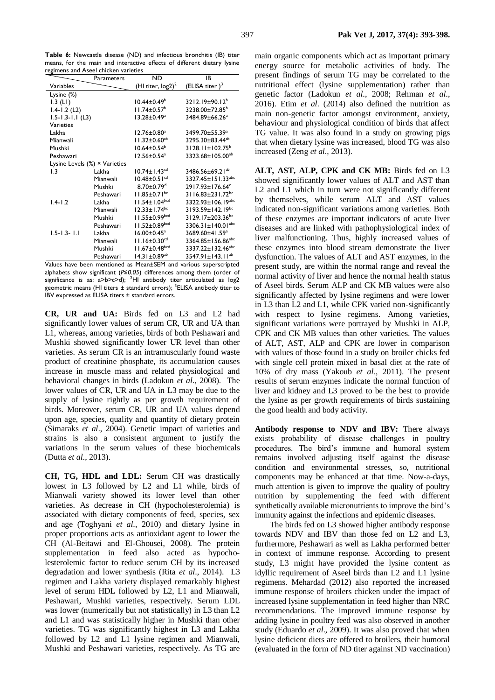**Table 6:** Newcastle disease (ND) and infectious bronchitis (IB) titer means, for the main and interactive effects of different dietary lysine regimens and Aseel chicken varieties

|                                       | Parameters | <b>ND</b>                       | IB                                  |
|---------------------------------------|------------|---------------------------------|-------------------------------------|
| Variables                             |            | (HI titer, $log2)^2$            | (ELISA titer) $3$                   |
| Lysine (%)                            |            |                                 |                                     |
| 1.3 (LI)                              |            | $10.44 \pm 0.49^{\circ}$        | 3212.19±90.12 <sup>b</sup>          |
| $1.4 - 1.2$ (L2)                      |            | $11.74 \pm 0.57^{\circ}$        | 3238.00±72.85 <sup>b</sup>          |
| $1.5 - 1.3 - 1.1$ (L3)                |            | $13.28 \pm 0.49^a$              | 3484.89±66.26 <sup>a</sup>          |
| Varieties                             |            |                                 |                                     |
| Lakha                                 |            | 12.76±0.80ª                     | 3499.70±55.39 <sup>a</sup>          |
| Mianwali                              |            | $11.32 \pm 0.60^{ab}$           | 3295.30±83.44 <sup>ab</sup>         |
| Mushki                                |            | $10.64 \pm 0.54$ <sup>b</sup>   | $3128.11 \pm 102.75^b$              |
| Peshawari                             |            | $12.56 \pm 0.54^a$              | 3323.68±105.00 <sup>ab</sup>        |
| Lysine Levels $(\%) \times$ Varieties |            |                                 |                                     |
| 1.3                                   | Lakha      | $10.74 \pm 1.43$ <sup>cd</sup>  | 3486.56±69.21 <sup>ab</sup>         |
|                                       | Mianwali   | $10.48 \pm 0.5$ $\mathrm{I}$ cd | $3327.45 \pm 151.33$ <sup>abc</sup> |
|                                       | Mushki     | $8.70 \pm 0.79$ <sup>d</sup>    | 2917.93±176.64°                     |
|                                       | Peshawari  | $11.85 \pm 0.71$ <sup>bc</sup>  | 3116.83±231.72bc                    |
| $1.4 - 1.2$                           | Lakha      | $11.54 \pm 1.04^{bcd}$          | 3322.93±106.19 <sup>abc</sup>       |
|                                       | Mianwali   | $12.33 \pm 1.74$ <sup>bc</sup>  | 3193.59±142.19bc                    |
|                                       | Mushki     | 11.55±0.99bcd                   | 3129.17±203.36bc                    |
|                                       | Peshawari  | $11.52 \pm 0.89^{bcd}$          | 3306.31 $\pm$ 140.01 <sup>abc</sup> |
| $1.5 - 1.3 - 1.1$                     | Lakha      | $16.00 \pm 0.45$ <sup>a</sup>   | 3689.60±41.59 <sup>a</sup>          |
|                                       | Mianwali   | $11.16 \pm 0.30$ <sup>cd</sup>  | 3364.85±156.86 <sup>abc</sup>       |
|                                       | Mushki     | $11.67 \pm 0.48$ bcd            | 3337.22±132.46 <sup>abc</sup>       |
|                                       | Peshawari  | $14.31 \pm 0.89$ <sup>ab</sup>  | $3547.91 \pm 143.11^{ab}$           |

Values have been mentioned as Mean±SEM and various superscripted alphabets show significant (*P≤0.05*) differences among them (order of significance is as:  $a > b > c > d$ ); <sup>2</sup>HI antibody titer articulated as log2 geometric means (HI titers ± standard errors); <sup>3</sup>ELISA antibody titer to IBV expressed as ELISA titers ± standard errors.

**CR, UR and UA:** Birds fed on L3 and L2 had significantly lower values of serum CR, UR and UA than L1, whereas, among varieties, birds of both Peshawari and Mushki showed significantly lower UR level than other varieties. As serum CR is an intramuscularly found waste product of creatinine phosphate, its accumulation causes increase in muscle mass and related physiological and behavioral changes in birds (Ladokun *et al*., 2008). The lower values of CR, UR and UA in L3 may be due to the supply of lysine rightly as per growth requirement of birds. Moreover, serum CR, UR and UA values depend upon age, species, quality and quantity of dietary protein (Simaraks *et al*., 2004). Genetic impact of varieties and strains is also a consistent argument to justify the variations in the serum values of these biochemicals (Dutta *et al*., 2013).

**CH, TG, HDL and LDL:** Serum CH was drastically lowest in L3 followed by L2 and L1 while, birds of Mianwali variety showed its lower level than other varieties. As decrease in CH (hypocholesterolemia) is associated with dietary components of feed, species, sex and age (Toghyani *et al*., 2010) and dietary lysine in proper proportions acts as antioxidant agent to lower the CH (Al-Beitawi and El-Ghousei, 2008). The protein supplementation in feed also acted as hypocholesterolemic factor to reduce serum CH by its increased degradation and lower synthesis (Rita *et al*., 2014). L3 regimen and Lakha variety displayed remarkably highest level of serum HDL followed by L2, L1 and Mianwali, Peshawari, Mushki varieties, respectively. Serum LDL was lower (numerically but not statistically) in L3 than L2 and L1 and was statistically higher in Mushki than other varieties. TG was significantly highest in L3 and Lakha followed by L2 and L1 lysine regimen and Mianwali, Mushki and Peshawari varieties, respectively. As TG are

main organic components which act as important primary energy source for metabolic activities of body. The present findings of serum TG may be correlated to the nutritional effect (lysine supplementation) rather than genetic factor (Ladokun *et al*., 2008; Rehman *et al*., 2016). Etim *et al*. (2014) also defined the nutrition as main non-genetic factor amongst environment, anxiety, behaviour and physiological condition of birds that affect TG value. It was also found in a study on growing pigs that when dietary lysine was increased, blood TG was also increased (Zeng *et al*., 2013).

ALT, AST, ALP, CPK and CK MB: Birds fed on L3 showed significantly lower values of ALT and AST than L2 and L1 which in turn were not significantly different by themselves, while serum ALT and AST values indicated non-significant variations among varieties. Both of these enzymes are important indicators of acute liver diseases and are linked with pathophysiological index of liver malfunctioning. Thus, highly increased values of these enzymes into blood stream demonstrate the liver dysfunction. The values of ALT and AST enzymes, in the present study, are within the normal range and reveal the normal activity of liver and hence the normal health status of Aseel birds. Serum ALP and CK MB values were also significantly affected by lysine regimens and were lower in L3 than L2 and L1, while CPK varied non-significantly with respect to lysine regimens. Among varieties, significant variations were portrayed by Mushki in ALP, CPK and CK MB values than other varieties. The values of ALT, AST, ALP and CPK are lower in comparison with values of those found in a study on broiler chicks fed with single cell protein mixed in basal diet at the rate of 10% of dry mass (Yakoub *et al*., 2011). The present results of serum enzymes indicate the normal function of liver and kidney and L3 proved to be the best to provide the lysine as per growth requirements of birds sustaining the good health and body activity.

**Antibody response to NDV and IBV:** There always exists probability of disease challenges in poultry procedures. The bird's immune and humoral system remains involved adjusting itself against the disease condition and environmental stresses, so, nutritional components may be enhanced at that time. Now-a-days, much attention is given to improve the quality of poultry nutrition by supplementing the feed with different synthetically available micronutrients to improve the bird's immunity against the infections and epidemic diseases.

The birds fed on L3 showed higher antibody response towards NDV and IBV than those fed on L2 and L3, furthermore, Peshawari as well as Lakha performed better in context of immune response. According to present study, L3 might have provided the lysine content as idyllic requirement of Aseel birds than L2 and L1 lysine regimens. Mehardad (2012) also reported the increased immune response of broilers chicken under the impact of increased lysine supplementation in feed higher than NRC recommendations. The improved immune response by adding lysine in poultry feed was also observed in another study (Eduardo *et al*., 2009). It was also proved that when lysine deficient diets are offered to broilers, their humoral (evaluated in the form of ND titer against ND vaccination)